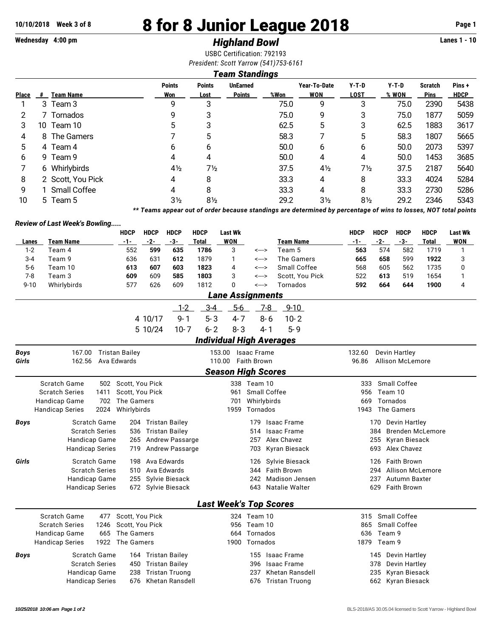# **10/10/2018 Week 3 of 8 8 for 8 Junior League 2018 Page 1**

# **Wednesday 4:00 pm** *Highland Bowl* **Lanes 1 - 10**

USBC Certification: 792193 *President: Scott Yarrow (541)753-6161*

## *Team Standings*

| ı <del>c</del> anı ətanuniyə |                  |                                                                                                                                                  |                       |                                  |      |                            |                        |                  |                               |                       |  |
|------------------------------|------------------|--------------------------------------------------------------------------------------------------------------------------------------------------|-----------------------|----------------------------------|------|----------------------------|------------------------|------------------|-------------------------------|-----------------------|--|
| #                            | <b>Team Name</b> | <b>Points</b><br>Won                                                                                                                             | <b>Points</b><br>Lost | <b>UnEarned</b><br><b>Points</b> | %Won | Year-To-Date<br><b>WON</b> | $Y-T-D$<br><b>LOST</b> | $Y-T-D$<br>% WON | <b>Scratch</b><br><b>Pins</b> | Pins +<br><b>HDCP</b> |  |
|                              |                  | 9                                                                                                                                                | 3                     |                                  | 75.0 | 9                          | 3                      | 75.0             | 2390                          | 5438                  |  |
|                              |                  | 9                                                                                                                                                | 3                     |                                  | 75.0 | 9                          | 3                      | 75.0             | 1877                          | 5059                  |  |
|                              |                  | 5                                                                                                                                                | 3                     |                                  | 62.5 | 5                          | 3                      | 62.5             | 1883                          | 3617                  |  |
|                              |                  |                                                                                                                                                  | 5                     |                                  | 58.3 |                            | 5                      | 58.3             | 1807                          | 5665                  |  |
|                              |                  | 6                                                                                                                                                | 6                     |                                  | 50.0 | 6                          | 6                      | 50.0             | 2073                          | 5397                  |  |
|                              |                  | 4                                                                                                                                                | 4                     |                                  | 50.0 | 4                          | 4                      | 50.0             | 1453                          | 3685                  |  |
|                              |                  | $4\frac{1}{2}$                                                                                                                                   | 7½                    |                                  | 37.5 | $4\frac{1}{2}$             | $7\frac{1}{2}$         | 37.5             | 2187                          | 5640                  |  |
|                              |                  | 4                                                                                                                                                | 8                     |                                  | 33.3 | 4                          | 8                      | 33.3             | 4024                          | 5284                  |  |
|                              |                  | 4                                                                                                                                                | 8                     |                                  | 33.3 | 4                          | 8                      | 33.3             | 2730                          | 5286                  |  |
|                              |                  | 3½                                                                                                                                               | 8½                    |                                  | 29.2 | $3\frac{1}{2}$             | $8\frac{1}{2}$         | 29.2             | 2346                          | 5343                  |  |
|                              |                  | 3 Team 3<br>7 Tornados<br>10 Team 10<br>8 The Gamers<br>4 Team 4<br>9 Team 9<br>6 Whirlybirds<br>2 Scott, You Pick<br>1 Small Coffee<br>5 Team 5 |                       |                                  |      |                            |                        |                  |                               |                       |  |

*\*\* Teams appear out of order because standings are determined by percentage of wins to losses, NOT total points*

#### *Review of Last Week's Bowling.....*

|                                                          |                                                                                               |      | <b>HDCP</b>           | <b>HDCP</b> | <b>HDCP</b>             | <b>HDCP</b>  | <b>Last Wk</b>                  |                       |                    |                       | <b>HDCP</b>                    | <b>HDCP</b>                      | <b>HDCP</b>               | <b>HDCP</b>  | <b>Last Wk</b> |  |  |  |
|----------------------------------------------------------|-----------------------------------------------------------------------------------------------|------|-----------------------|-------------|-------------------------|--------------|---------------------------------|-----------------------|--------------------|-----------------------|--------------------------------|----------------------------------|---------------------------|--------------|----------------|--|--|--|
| Lanes                                                    | <b>Team Name</b>                                                                              |      | $-1-$                 | $-2-$       | $-3-$                   | <b>Total</b> | <b>WON</b>                      |                       |                    | <b>Team Name</b>      | $-1-$                          | $-2-$                            | $-3-$                     | <b>Total</b> | <b>WON</b>     |  |  |  |
| $1 - 2$                                                  | Team 4                                                                                        |      | 552                   | 599         | 635                     | 1786         | 3                               | <--->                 |                    | Team 5                | 563                            | 574                              | 582                       | 1719         | 1              |  |  |  |
| $3 - 4$                                                  | Team 9                                                                                        |      | 636                   | 631         | 612                     | 1879         | 1                               | <--->                 |                    | The Gamers            | 665                            | 658                              | 599                       | 1922         | 3              |  |  |  |
| $5-6$                                                    | Team 10                                                                                       |      | 613                   | 607         | 603                     | 1823         | 4                               | <--->                 |                    | Small Coffee          | 568                            | 605                              | 562                       | 1735         | 0              |  |  |  |
| $7 - 8$                                                  | Team 3                                                                                        |      | 609                   | 609         | 585                     | 1803         | 3                               | <--->                 |                    | Scott, You Pick       | 522                            | 613                              | 519                       | 1654         | 1              |  |  |  |
| $9 - 10$                                                 | Whirlybirds                                                                                   |      | 577                   | 626         | 609                     | 1812         | $\Omega$                        | <--->                 |                    | Tornados              | 592                            | 664                              | 644                       | 1900         | 4              |  |  |  |
|                                                          |                                                                                               |      |                       |             | <b>Lane Assignments</b> |              |                                 |                       |                    |                       |                                |                                  |                           |              |                |  |  |  |
|                                                          |                                                                                               |      |                       |             | $1 - 2$                 | $3 - 4$      | $5-6$                           |                       | $7-8$              | $9 - 10$              |                                |                                  |                           |              |                |  |  |  |
|                                                          |                                                                                               |      |                       | 4 10/17     | $9 - 1$                 | $5 - 3$      | $4 - 7$                         |                       | $8 - 6$            | $10 - 2$              |                                |                                  |                           |              |                |  |  |  |
|                                                          |                                                                                               |      |                       | 5 10/24     | $10-7$                  | $6 - 2$      | $8 - 3$                         |                       | 4-1                | $5 - 9$               |                                |                                  |                           |              |                |  |  |  |
|                                                          |                                                                                               |      |                       |             |                         |              | <b>Individual High Averages</b> |                       |                    |                       |                                |                                  |                           |              |                |  |  |  |
| Boys                                                     | 167.00                                                                                        |      | <b>Tristan Bailey</b> |             |                         |              | 153.00                          | <b>Isaac Frame</b>    |                    |                       | 132.60                         |                                  | Devin Hartley             |              |                |  |  |  |
| Girls                                                    | Ava Edwards<br>162.56                                                                         |      |                       |             |                         |              | 110.00<br><b>Faith Brown</b>    |                       |                    |                       |                                | 96.86<br><b>Allison McLemore</b> |                           |              |                |  |  |  |
|                                                          |                                                                                               |      |                       |             |                         |              | <b>Season High Scores</b>       |                       |                    |                       |                                |                                  |                           |              |                |  |  |  |
|                                                          | Scratch Game                                                                                  |      |                       |             |                         |              |                                 | 338 Team 10           |                    |                       | 333                            |                                  | Small Coffee              |              |                |  |  |  |
|                                                          | 502 Scott, You Pick<br><b>Scratch Series</b><br>1411<br>Scott, You Pick                       |      |                       |             |                         |              | 961                             | Small Coffee          |                    |                       | 956<br>Team 10                 |                                  |                           |              |                |  |  |  |
|                                                          | Handicap Game<br>702<br>The Gamers                                                            |      |                       |             |                         |              | Whirlybirds<br>701              |                       |                    |                       |                                | Tornados<br>669                  |                           |              |                |  |  |  |
|                                                          | <b>Handicap Series</b><br>2024<br>Whirlybirds                                                 |      |                       |             |                         |              | Tornados<br>1959                |                       |                    |                       |                                | The Gamers<br>1943               |                           |              |                |  |  |  |
| <b>Boys</b>                                              | <b>Scratch Game</b><br>204 Tristan Bailey                                                     |      |                       |             |                         |              |                                 | 179                   |                    | <b>Isaac Frame</b>    | Devin Hartley<br>170           |                                  |                           |              |                |  |  |  |
|                                                          | <b>Scratch Series</b><br>536 Tristan Bailey<br>Handicap Game<br><b>Andrew Passarge</b><br>265 |      |                       |             |                         |              |                                 | 514                   |                    | <b>Isaac Frame</b>    | 384<br><b>Brenden McLemore</b> |                                  |                           |              |                |  |  |  |
|                                                          |                                                                                               |      |                       |             |                         |              | Alex Chavez<br>257              |                       |                    |                       |                                | 255<br>Kyran Biesack             |                           |              |                |  |  |  |
|                                                          | Andrew Passarge<br><b>Handicap Series</b><br>719                                              |      |                       |             |                         |              | Kyran Biesack<br>703            |                       |                    |                       |                                | Alex Chavez<br>693               |                           |              |                |  |  |  |
| Girls                                                    | 198 Ava Edwards<br>Scratch Game                                                               |      |                       |             |                         |              |                                 | 126                   |                    | Sylvie Biesack        |                                | 126                              | <b>Faith Brown</b>        |              |                |  |  |  |
|                                                          | <b>Scratch Series</b><br>Ava Edwards<br>510                                                   |      |                       |             |                         |              | <b>Faith Brown</b><br>344       |                       |                    |                       |                                | 294<br><b>Allison McLemore</b>   |                           |              |                |  |  |  |
|                                                          | 255 Sylvie Biesack<br>Handicap Game                                                           |      |                       |             |                         |              |                                 | 242                   |                    | <b>Madison Jensen</b> |                                | 237                              | Autumn Baxter             |              |                |  |  |  |
|                                                          | 672 Sylvie Biesack<br><b>Handicap Series</b>                                                  |      |                       |             |                         |              |                                 | 643<br>Natalie Walter |                    |                       |                                |                                  | 629<br><b>Faith Brown</b> |              |                |  |  |  |
|                                                          |                                                                                               |      |                       |             |                         |              | <b>Last Week's Top Scores</b>   |                       |                    |                       |                                |                                  |                           |              |                |  |  |  |
|                                                          | <b>Scratch Game</b>                                                                           | 477  | Scott, You Pick       |             |                         |              |                                 | 324 Team 10           |                    |                       | 315                            |                                  | Small Coffee              |              |                |  |  |  |
|                                                          | <b>Scratch Series</b>                                                                         | 1246 | Scott, You Pick       |             |                         |              |                                 | 956 Team 10           |                    |                       | 865                            |                                  | Small Coffee              |              |                |  |  |  |
| 665<br>The Gamers<br>Handicap Game                       |                                                                                               |      |                       |             |                         |              | Tornados<br>664                 |                       |                    |                       |                                | Team 9<br>636                    |                           |              |                |  |  |  |
|                                                          | 1922<br>The Gamers<br>Tornados<br><b>Handicap Series</b><br>1900                              |      |                       |             |                         |              |                                 | 1879 Team 9           |                    |                       |                                |                                  |                           |              |                |  |  |  |
| <b>Scratch Game</b><br><b>Boys</b><br>164 Tristan Bailey |                                                                                               |      |                       |             |                         |              | 155                             |                       | <b>Isaac Frame</b> |                       | 145                            | Devin Hartley                    |                           |              |                |  |  |  |
|                                                          | <b>Scratch Series</b>                                                                         |      | 450                   |             | <b>Tristan Bailey</b>   |              | <b>Isaac Frame</b><br>396       |                       |                    |                       |                                | 378<br>Devin Hartley             |                           |              |                |  |  |  |
|                                                          | Handicap Game                                                                                 |      | 238                   |             | <b>Tristan Truong</b>   |              | 237<br>Khetan Ransdell          |                       |                    |                       |                                | 235<br>Kyran Biesack             |                           |              |                |  |  |  |
| 676<br>Khetan Ransdell<br><b>Handicap Series</b>         |                                                                                               |      |                       |             |                         |              | 676                             |                       | Tristan Truong     |                       |                                | 662 Kyran Biesack                |                           |              |                |  |  |  |
|                                                          |                                                                                               |      |                       |             |                         |              |                                 |                       |                    |                       |                                |                                  |                           |              |                |  |  |  |